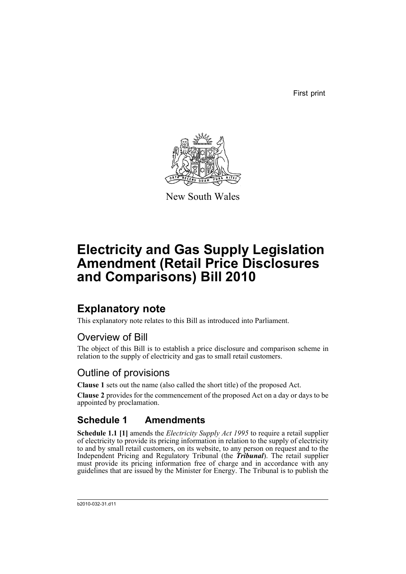First print



New South Wales

# **Electricity and Gas Supply Legislation Amendment (Retail Price Disclosures and Comparisons) Bill 2010**

### **Explanatory note**

This explanatory note relates to this Bill as introduced into Parliament.

#### Overview of Bill

The object of this Bill is to establish a price disclosure and comparison scheme in relation to the supply of electricity and gas to small retail customers.

#### Outline of provisions

**Clause 1** sets out the name (also called the short title) of the proposed Act.

**Clause 2** provides for the commencement of the proposed Act on a day or days to be appointed by proclamation.

### **Schedule 1 Amendments**

**Schedule 1.1 [1]** amends the *Electricity Supply Act 1995* to require a retail supplier of electricity to provide its pricing information in relation to the supply of electricity to and by small retail customers, on its website, to any person on request and to the Independent Pricing and Regulatory Tribunal (the *Tribunal*). The retail supplier must provide its pricing information free of charge and in accordance with any guidelines that are issued by the Minister for Energy. The Tribunal is to publish the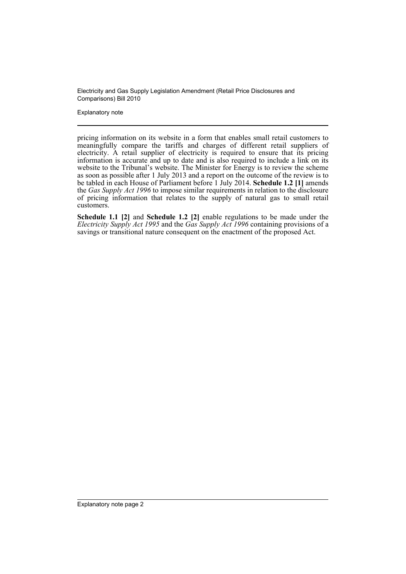Explanatory note

pricing information on its website in a form that enables small retail customers to meaningfully compare the tariffs and charges of different retail suppliers of electricity. A retail supplier of electricity is required to ensure that its pricing information is accurate and up to date and is also required to include a link on its website to the Tribunal's website. The Minister for Energy is to review the scheme as soon as possible after 1 July 2013 and a report on the outcome of the review is to be tabled in each House of Parliament before 1 July 2014. **Schedule 1.2 [1]** amends the *Gas Supply Act 1996* to impose similar requirements in relation to the disclosure of pricing information that relates to the supply of natural gas to small retail customers.

**Schedule 1.1 [2]** and **Schedule 1.2 [2]** enable regulations to be made under the *Electricity Supply Act 1995* and the *Gas Supply Act 1996* containing provisions of a savings or transitional nature consequent on the enactment of the proposed Act.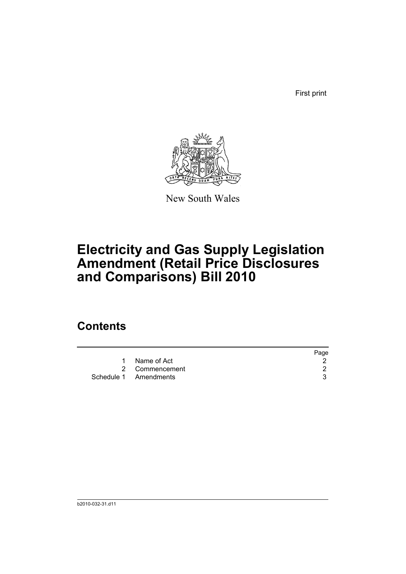First print



New South Wales

# **Electricity and Gas Supply Legislation Amendment (Retail Price Disclosures and Comparisons) Bill 2010**

## **Contents**

|                       | Page |
|-----------------------|------|
| 1 Name of Act         |      |
| 2 Commencement        |      |
| Schedule 1 Amendments |      |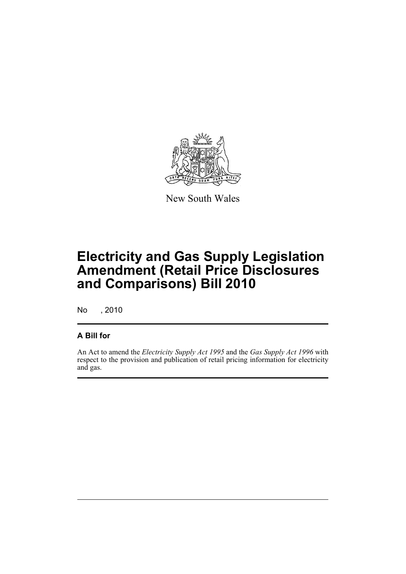

New South Wales

## **Electricity and Gas Supply Legislation Amendment (Retail Price Disclosures and Comparisons) Bill 2010**

No , 2010

#### **A Bill for**

An Act to amend the *Electricity Supply Act 1995* and the *Gas Supply Act 1996* with respect to the provision and publication of retail pricing information for electricity and gas.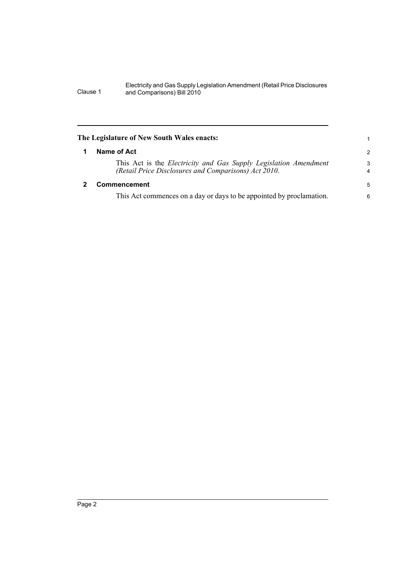<span id="page-5-1"></span><span id="page-5-0"></span>

| The Legislature of New South Wales enacts: |                                                                                                                                 | 1      |
|--------------------------------------------|---------------------------------------------------------------------------------------------------------------------------------|--------|
|                                            | Name of Act                                                                                                                     |        |
|                                            | This Act is the <i>Electricity and Gas Supply Legislation Amendment</i><br>(Retail Price Disclosures and Comparisons) Act 2010. | 3<br>4 |
|                                            | Commencement                                                                                                                    |        |
|                                            | This Act commences on a day or days to be appointed by proclamation.                                                            | 6      |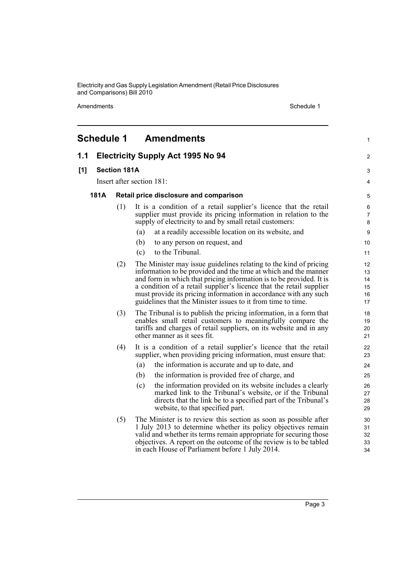Amendments Schedule 1

<span id="page-6-0"></span>

|     | <b>Schedule 1</b>         |     | <b>Amendments</b>                                                                                                                                                                                                                                                                                                                                                                                                      | $\mathbf{1}$                     |  |
|-----|---------------------------|-----|------------------------------------------------------------------------------------------------------------------------------------------------------------------------------------------------------------------------------------------------------------------------------------------------------------------------------------------------------------------------------------------------------------------------|----------------------------------|--|
| 1.1 |                           |     | <b>Electricity Supply Act 1995 No 94</b>                                                                                                                                                                                                                                                                                                                                                                               | 2                                |  |
| [1] | <b>Section 181A</b>       |     |                                                                                                                                                                                                                                                                                                                                                                                                                        |                                  |  |
|     | Insert after section 181: |     |                                                                                                                                                                                                                                                                                                                                                                                                                        |                                  |  |
|     | <b>181A</b>               |     | Retail price disclosure and comparison                                                                                                                                                                                                                                                                                                                                                                                 | 5                                |  |
|     |                           | (1) | It is a condition of a retail supplier's licence that the retail                                                                                                                                                                                                                                                                                                                                                       | 6                                |  |
|     |                           |     | supplier must provide its pricing information in relation to the<br>supply of electricity to and by small retail customers:                                                                                                                                                                                                                                                                                            | 7<br>8                           |  |
|     |                           |     | at a readily accessible location on its website, and<br>(a)                                                                                                                                                                                                                                                                                                                                                            | 9                                |  |
|     |                           |     | (b)<br>to any person on request, and                                                                                                                                                                                                                                                                                                                                                                                   | 10                               |  |
|     |                           |     | to the Tribunal.<br>(c)                                                                                                                                                                                                                                                                                                                                                                                                | 11                               |  |
|     |                           | (2) | The Minister may issue guidelines relating to the kind of pricing<br>information to be provided and the time at which and the manner<br>and form in which that pricing information is to be provided. It is<br>a condition of a retail supplier's licence that the retail supplier<br>must provide its pricing information in accordance with any such<br>guidelines that the Minister issues to it from time to time. | 12<br>13<br>14<br>15<br>16<br>17 |  |
|     |                           | (3) | The Tribunal is to publish the pricing information, in a form that<br>enables small retail customers to meaningfully compare the<br>tariffs and charges of retail suppliers, on its website and in any<br>other manner as it sees fit.                                                                                                                                                                                 | 18<br>19<br>20<br>21             |  |
|     |                           | (4) | It is a condition of a retail supplier's licence that the retail<br>supplier, when providing pricing information, must ensure that:                                                                                                                                                                                                                                                                                    | 22<br>23                         |  |
|     |                           |     | (a)<br>the information is accurate and up to date, and                                                                                                                                                                                                                                                                                                                                                                 | 24                               |  |
|     |                           |     | the information is provided free of charge, and<br>(b)                                                                                                                                                                                                                                                                                                                                                                 | 25                               |  |
|     |                           |     | the information provided on its website includes a clearly<br>(c)<br>marked link to the Tribunal's website, or if the Tribunal<br>directs that the link be to a specified part of the Tribunal's<br>website, to that specified part.                                                                                                                                                                                   | 26<br>27<br>28<br>29             |  |
|     |                           | (5) | The Minister is to review this section as soon as possible after<br>1 July 2013 to determine whether its policy objectives remain<br>valid and whether its terms remain appropriate for securing those<br>objectives. A report on the outcome of the review is to be tabled<br>in each House of Parliament before 1 July 2014.                                                                                         | 30<br>31<br>32<br>33<br>34       |  |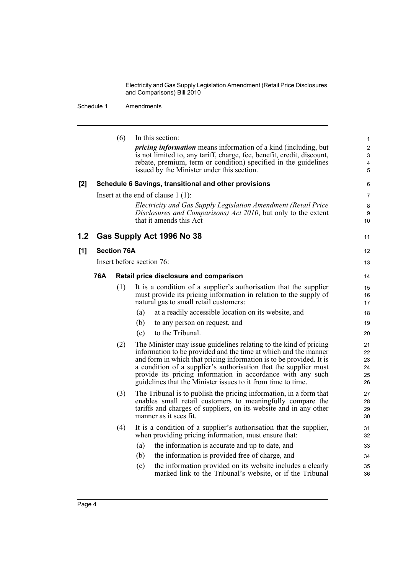Schedule 1 Amendments

|     |     | (6)                | In this section:<br><i>pricing information</i> means information of a kind (including, but<br>is not limited to, any tariff, charge, fee, benefit, credit, discount,<br>rebate, premium, term or condition) specified in the guidelines<br>issued by the Minister under this section.                                                                                                                          | 1<br>$\overline{c}$<br>3<br>$\overline{\mathbf{4}}$<br>5 |
|-----|-----|--------------------|----------------------------------------------------------------------------------------------------------------------------------------------------------------------------------------------------------------------------------------------------------------------------------------------------------------------------------------------------------------------------------------------------------------|----------------------------------------------------------|
| [2] |     |                    | Schedule 6 Savings, transitional and other provisions                                                                                                                                                                                                                                                                                                                                                          | 6                                                        |
|     |     |                    | Insert at the end of clause $1(1)$ :                                                                                                                                                                                                                                                                                                                                                                           | 7                                                        |
|     |     |                    | Electricity and Gas Supply Legislation Amendment (Retail Price<br>Disclosures and Comparisons) Act 2010, but only to the extent<br>that it amends this Act                                                                                                                                                                                                                                                     | 8<br>9<br>10                                             |
| 1.2 |     |                    | Gas Supply Act 1996 No 38                                                                                                                                                                                                                                                                                                                                                                                      | 11                                                       |
| [1] |     | <b>Section 76A</b> |                                                                                                                                                                                                                                                                                                                                                                                                                | $12 \overline{ }$                                        |
|     |     |                    | Insert before section 76:                                                                                                                                                                                                                                                                                                                                                                                      | 13                                                       |
|     | 76A |                    | Retail price disclosure and comparison                                                                                                                                                                                                                                                                                                                                                                         | 14                                                       |
|     |     | (1)                | It is a condition of a supplier's authorisation that the supplier<br>must provide its pricing information in relation to the supply of<br>natural gas to small retail customers:                                                                                                                                                                                                                               | 15<br>16<br>17                                           |
|     |     |                    | at a readily accessible location on its website, and<br>(a)                                                                                                                                                                                                                                                                                                                                                    | 18                                                       |
|     |     |                    | to any person on request, and<br>(b)                                                                                                                                                                                                                                                                                                                                                                           | 19                                                       |
|     |     |                    | to the Tribunal.<br>(c)                                                                                                                                                                                                                                                                                                                                                                                        | 20                                                       |
|     |     | (2)                | The Minister may issue guidelines relating to the kind of pricing<br>information to be provided and the time at which and the manner<br>and form in which that pricing information is to be provided. It is<br>a condition of a supplier's authorisation that the supplier must<br>provide its pricing information in accordance with any such<br>guidelines that the Minister issues to it from time to time. | 21<br>22<br>23<br>24<br>25<br>26                         |
|     |     | (3)                | The Tribunal is to publish the pricing information, in a form that<br>enables small retail customers to meaningfully compare the<br>tariffs and charges of suppliers, on its website and in any other<br>manner as it sees fit.                                                                                                                                                                                | 27<br>28<br>29<br>30                                     |
|     |     | (4)                | It is a condition of a supplier's authorisation that the supplier,<br>when providing pricing information, must ensure that:                                                                                                                                                                                                                                                                                    | 31<br>32                                                 |
|     |     |                    | the information is accurate and up to date, and<br>(a)                                                                                                                                                                                                                                                                                                                                                         | 33                                                       |
|     |     |                    | (b)<br>the information is provided free of charge, and                                                                                                                                                                                                                                                                                                                                                         | 34                                                       |
|     |     |                    | the information provided on its website includes a clearly<br>(c)<br>marked link to the Tribunal's website, or if the Tribunal                                                                                                                                                                                                                                                                                 | 35<br>36                                                 |